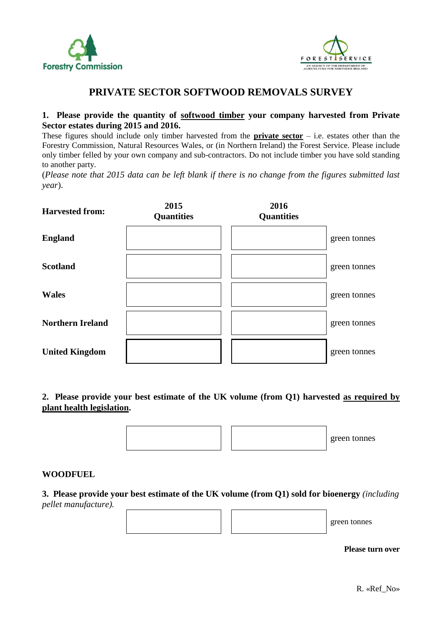



# **PRIVATE SECTOR SOFTWOOD REMOVALS SURVEY**

## **1. Please provide the quantity of softwood timber your company harvested from Private Sector estates during 2015 and 2016.**

These figures should include only timber harvested from the **private sector** – i.e. estates other than the Forestry Commission, Natural Resources Wales, or (in Northern Ireland) the Forest Service. Please include only timber felled by your own company and sub-contractors. Do not include timber you have sold standing to another party.

(*Please note that 2015 data can be left blank if there is no change from the figures submitted last year*).

| <b>Harvested from:</b>  | 2015<br><b>Quantities</b> | 2016<br><b>Quantities</b> |              |
|-------------------------|---------------------------|---------------------------|--------------|
| <b>England</b>          |                           |                           | green tonnes |
| <b>Scotland</b>         |                           |                           | green tonnes |
| <b>Wales</b>            |                           |                           | green tonnes |
| <b>Northern Ireland</b> |                           |                           | green tonnes |
| <b>United Kingdom</b>   |                           |                           | green tonnes |

**2. Please provide your best estimate of the UK volume (from Q1) harvested as required by plant health legislation.**



green tonnes

### **WOODFUEL**

**3. Please provide your best estimate of the UK volume (from Q1) sold for bioenergy** *(including pellet manufacture).*

**Please turn over**